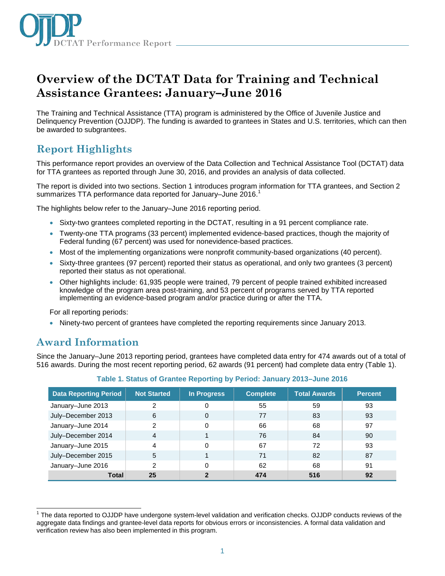

# **Overview of the DCTAT Data for Training and Technical Assistance Grantees: January–June 2016**

The Training and Technical Assistance (TTA) program is administered by the Office of Juvenile Justice and Delinquency Prevention (OJJDP). The funding is awarded to grantees in States and U.S. territories, which can then be awarded to subgrantees.

## **Report Highlights**

This performance report provides an overview of the Data Collection and Technical Assistance Tool (DCTAT) data for TTA grantees as reported through June 30, 2016, and provides an analysis of data collected.

The report is divided into two sections. Section 1 introduces program information for TTA grantees, and Section 2 summarizes TTA performance data reported for January–June 2016.<sup>1</sup>

The highlights below refer to the January–June 2016 reporting period.

- Sixty-two grantees completed reporting in the DCTAT, resulting in a 91 percent compliance rate.
- Twenty-one TTA programs (33 percent) implemented evidence-based practices, though the majority of Federal funding (67 percent) was used for nonevidence-based practices.
- Most of the implementing organizations were nonprofit community-based organizations (40 percent).
- Sixty-three grantees (97 percent) reported their status as operational, and only two grantees (3 percent) reported their status as not operational.
- Other highlights include: 61,935 people were trained, 79 percent of people trained exhibited increased knowledge of the program area post-training, and 53 percent of programs served by TTA reported implementing an evidence-based program and/or practice during or after the TTA.

For all reporting periods:

• Ninety-two percent of grantees have completed the reporting requirements since January 2013.

### **Award Information**

Since the January–June 2013 reporting period, grantees have completed data entry for 474 awards out of a total of 516 awards. During the most recent reporting period, 62 awards (91 percent) had complete data entry (Table 1).

| <b>Data Reporting Period</b> | Not Started    | In Progress  | <b>Complete</b> | <b>Total Awards</b> | <b>Percent</b> |
|------------------------------|----------------|--------------|-----------------|---------------------|----------------|
| January-June 2013            | 2              | 0            | 55              | 59                  | 93             |
| July-December 2013           | 6              | 0            | 77              | 83                  | 93             |
| January-June 2014            | 2              | 0            | 66              | 68                  | 97             |
| July-December 2014           | $\overline{4}$ |              | 76              | 84                  | 90             |
| January-June 2015            | 4              | 0            | 67              | 72                  | 93             |
| July-December 2015           | 5              |              | 71              | 82                  | 87             |
| January-June 2016            | 2              | 0            | 62              | 68                  | 91             |
| <b>Total</b>                 | 25             | $\mathbf{2}$ | 474             | 516                 | 92             |

#### **Table 1. Status of Grantee Reporting by Period: January 2013–June 2016**

j <sup>1</sup> The data reported to OJJDP have undergone system-level validation and verification checks. OJJDP conducts reviews of the aggregate data findings and grantee-level data reports for obvious errors or inconsistencies. A formal data validation and verification review has also been implemented in this program.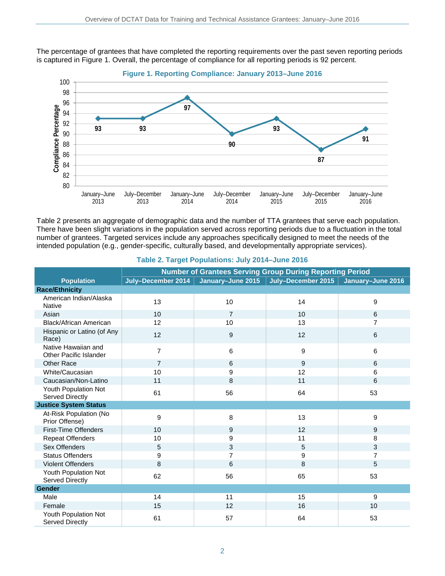The percentage of grantees that have completed the reporting requirements over the past seven reporting periods is captured in Figure 1. Overall, the percentage of compliance for all reporting periods is 92 percent.



Table 2 presents an aggregate of demographic data and the number of TTA grantees that serve each population. There have been slight variations in the population served across reporting periods due to a fluctuation in the total number of grantees. Targeted services include any approaches specifically designed to meet the needs of the intended population (e.g., gender-specific, culturally based, and developmentally appropriate services).

|                                                      | <b>Number of Grantees Serving Group During Reporting Period</b> |                |                                        |                   |  |
|------------------------------------------------------|-----------------------------------------------------------------|----------------|----------------------------------------|-------------------|--|
| <b>Population</b>                                    | July-December 2014                                              |                | January-June 2015   July-December 2015 | January-June 2016 |  |
| <b>Race/Ethnicity</b>                                |                                                                 |                |                                        |                   |  |
| American Indian/Alaska<br><b>Native</b>              | 13                                                              | 10             | 14                                     | 9                 |  |
| Asian                                                | 10                                                              | $\overline{7}$ | 10                                     | 6                 |  |
| Black/African American                               | 12                                                              | 10             | 13                                     | $\overline{7}$    |  |
| Hispanic or Latino (of Any<br>Race)                  | 12                                                              | 9              | 12                                     | 6                 |  |
| Native Hawaiian and<br><b>Other Pacific Islander</b> | $\overline{7}$                                                  | 6              | 9                                      | $6\phantom{1}$    |  |
| <b>Other Race</b>                                    | $\overline{7}$                                                  | 6              | 9                                      | 6                 |  |
| White/Caucasian                                      | 10                                                              | 9              | 12                                     | 6                 |  |
| Caucasian/Non-Latino                                 | 11                                                              | 8              | 11                                     | 6                 |  |
| Youth Population Not<br>Served Directly              | 61                                                              | 56             | 64                                     | 53                |  |
| <b>Justice System Status</b>                         |                                                                 |                |                                        |                   |  |
| At-Risk Population (No<br>Prior Offense)             | 9                                                               | 8              | 13                                     | 9                 |  |
| <b>First-Time Offenders</b>                          | 10                                                              | 9              | 12                                     | 9                 |  |
| <b>Repeat Offenders</b>                              | 10                                                              | 9              | 11                                     | 8                 |  |
| Sex Offenders                                        | 5                                                               | 3              | 5                                      | 3                 |  |
| <b>Status Offenders</b>                              | 9                                                               | $\overline{7}$ | 9                                      | $\overline{7}$    |  |
| <b>Violent Offenders</b>                             | 8                                                               | 6              | 8                                      | 5                 |  |
| Youth Population Not<br>Served Directly              | 62                                                              | 56             | 65                                     | 53                |  |
| Gender                                               |                                                                 |                |                                        |                   |  |
| Male                                                 | 14                                                              | 11             | 15                                     | 9                 |  |
| Female                                               | 15                                                              | 12             | 16                                     | 10                |  |
| Youth Population Not<br>Served Directly              | 61                                                              | 57             | 64                                     | 53                |  |

#### **Table 2. Target Populations: July 2014–June 2016**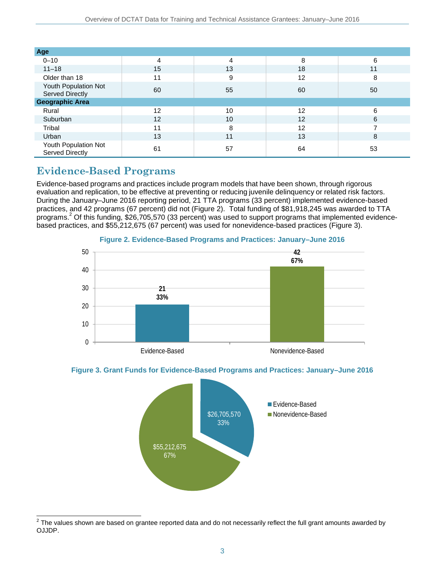| Age                                     |    |    |    |    |  |
|-----------------------------------------|----|----|----|----|--|
| $0 - 10$                                | 4  | 4  | 8  | 6  |  |
| $11 - 18$                               | 15 | 13 | 18 | 11 |  |
| Older than 18                           | 11 | 9  | 12 | 8  |  |
| Youth Population Not<br>Served Directly | 60 | 55 | 60 | 50 |  |
| <b>Geographic Area</b>                  |    |    |    |    |  |
| Rural                                   | 12 | 10 | 12 | 6  |  |
| Suburban                                | 12 | 10 | 12 | 6  |  |
| Tribal                                  | 11 | 8  | 12 | ⇁  |  |
| Urban                                   | 13 | 11 | 13 | 8  |  |
| Youth Population Not<br>Served Directly | 61 | 57 | 64 | 53 |  |

## **Evidence-Based Programs**

Evidence-based programs and practices include program models that have been shown, through rigorous evaluation and replication, to be effective at preventing or reducing juvenile delinquency or related risk factors. During the January–June 2016 reporting period, 21 TTA programs (33 percent) implemented evidence-based practices, and 42 programs (67 percent) did not (Figure 2). Total funding of \$81,918,245 was awarded to TTA programs. <sup>2</sup> Of this funding, \$26,705,570 (33 percent) was used to support programs that implemented evidencebased practices, and \$55,212,675 (67 percent) was used for nonevidence-based practices (Figure 3).



**Figure 2. Evidence-Based Programs and Practices: January–June 2016** 





 $\overline{a}$  $^2$  The values shown are based on grantee reported data and do not necessarily reflect the full grant amounts awarded by OJJDP.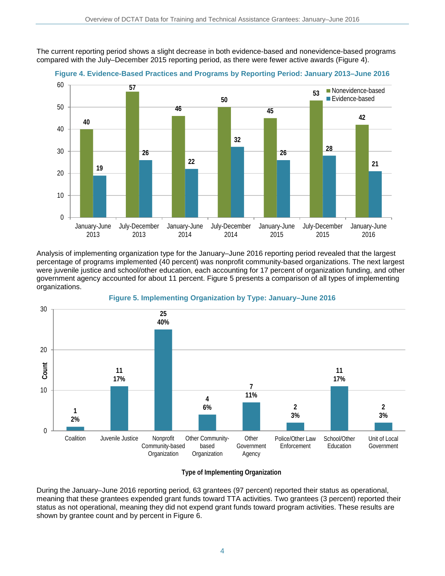The current reporting period shows a slight decrease in both evidence-based and nonevidence-based programs compared with the July–December 2015 reporting period, as there were fewer active awards (Figure 4).



**Figure 4. Evidence-Based Practices and Programs by Reporting Period: January 2013–June 2016** 

Analysis of implementing organization type for the January–June 2016 reporting period revealed that the largest percentage of programs implemented (40 percent) was nonprofit community-based organizations. The next largest were juvenile justice and school/other education, each accounting for 17 percent of organization funding, and other government agency accounted for about 11 percent. Figure 5 presents a comparison of all types of implementing organizations.





#### **Type of Implementing Organization**

During the January–June 2016 reporting period, 63 grantees (97 percent) reported their status as operational, meaning that these grantees expended grant funds toward TTA activities. Two grantees (3 percent) reported their status as not operational, meaning they did not expend grant funds toward program activities. These results are shown by grantee count and by percent in Figure 6.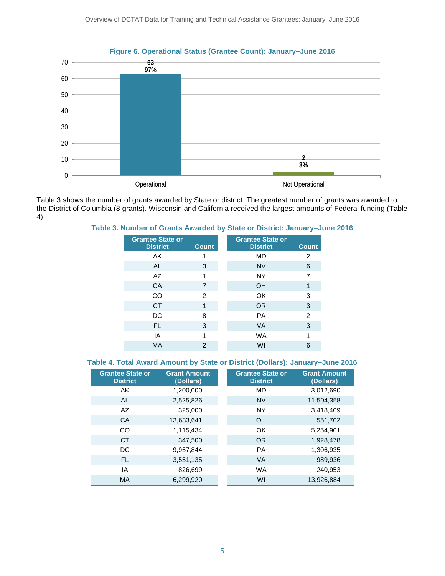

Table 3 shows the number of grants awarded by State or district. The greatest number of grants was awarded to the District of Columbia (8 grants). Wisconsin and California received the largest amounts of Federal funding (Table 4).

#### **Table 3. Number of Grants Awarded by State or District: January–June 2016**

| <b>Grantee State or</b><br><b>District</b> | <b>Count</b>   | <b>Grantee State or</b><br><b>District</b><br><b>Count</b> |
|--------------------------------------------|----------------|------------------------------------------------------------|
| AK                                         |                | MD<br>2                                                    |
| <b>AL</b>                                  | 3              | <b>NV</b><br>6                                             |
| AZ                                         | 1              | <b>NY</b><br>7                                             |
| CA                                         | 7              | <b>OH</b><br>1                                             |
| CO                                         | $\overline{2}$ | OK<br>3                                                    |
| <b>CT</b>                                  | 1              | 3<br><b>OR</b>                                             |
| DC                                         | 8              | 2<br><b>PA</b>                                             |
| FL.                                        | 3              | 3<br><b>VA</b>                                             |
| IA                                         | 1              | <b>WA</b><br>1                                             |
| <b>MA</b>                                  | 2              | WI<br>6                                                    |

#### **Table 4. Total Award Amount by State or District (Dollars): January–June 2016**

| <b>Grantee State or</b><br><b>District</b> | <b>Grant Amount</b><br>(Dollars) | <b>Grantee State or</b><br><b>District</b> | <b>Grant Amount</b><br>(Dollars) |
|--------------------------------------------|----------------------------------|--------------------------------------------|----------------------------------|
| AK                                         | 1,200,000                        | MD                                         | 3,012,690                        |
| AL                                         | 2,525,826                        | <b>NV</b>                                  | 11,504,358                       |
| AZ                                         | 325,000                          | <b>NY</b>                                  | 3,418,409                        |
| CA                                         | 13,633,641                       | <b>OH</b>                                  | 551,702                          |
| <b>CO</b>                                  | 1,115,434                        | OK                                         | 5,254,901                        |
| <b>CT</b>                                  | 347,500                          | OR.                                        | 1,928,478                        |
| DC                                         | 9.957.844                        | <b>PA</b>                                  | 1,306,935                        |
| FL.                                        | 3,551,135                        | <b>VA</b>                                  | 989,936                          |
| IA                                         | 826,699                          | <b>WA</b>                                  | 240,953                          |
| <b>MA</b>                                  | 6,299,920                        | WI                                         | 13,926,884                       |